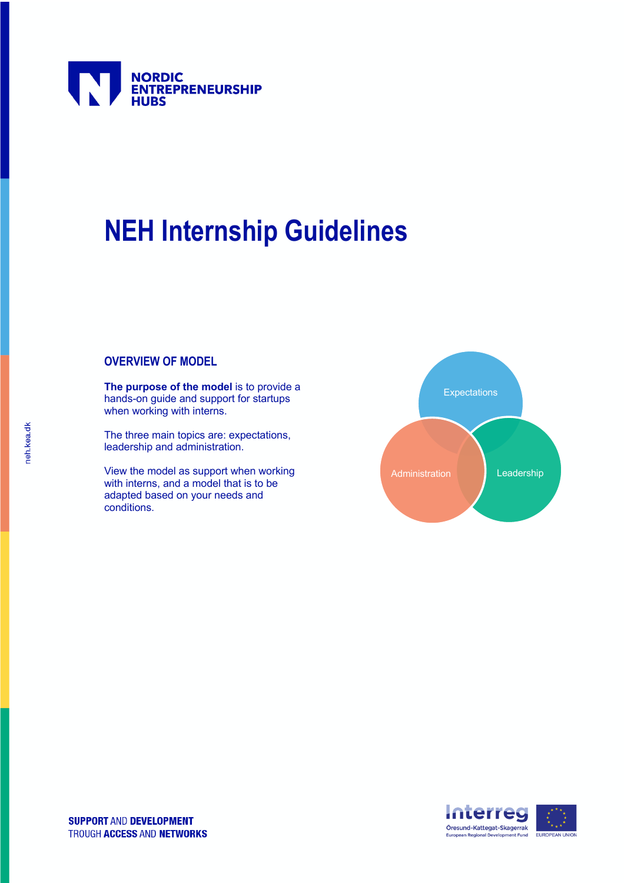

# **NEH Internship Guidelines**

# **OVERVIEW OF MODEL**

**The purpose of the model** is to provide a hands-on guide and support for startups when working with interns.

The three main topics are: expectations, leadership and administration.

View the model as support when working with interns, and a model that is to be adapted based on your needs and conditions.



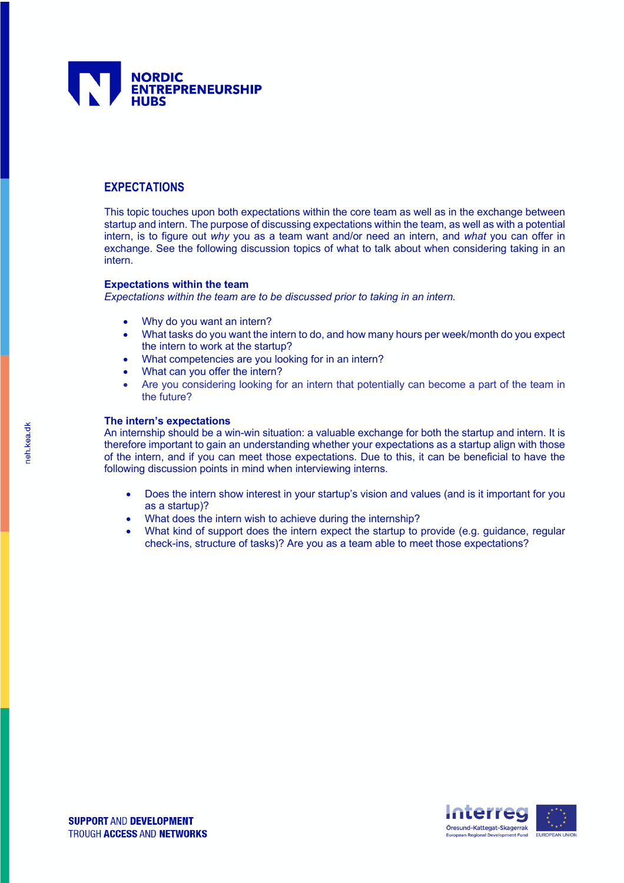

# **EXPECTATIONS**

This topic touches upon both expectations within the core team as well as in the exchange between startup and intern. The purpose of discussing expectations within the team, as well as with a potential intern, is to figure out *why* you as a team want and/or need an intern, and *what* you can offer in exchange. See the following discussion topics of what to talk about when considering taking in an intern.

## **Expectations within the team**

*Expectations within the team are to be discussed prior to taking in an intern.*

- Why do you want an intern?
- What tasks do you want the intern to do, and how many hours per week/month do you expect the intern to work at the startup?
- What competencies are you looking for in an intern?
- What can you offer the intern?
- Are you considering looking for an intern that potentially can become a part of the team in the future?

#### **The intern's expectations**

An internship should be a win-win situation: a valuable exchange for both the startup and intern. It is therefore important to gain an understanding whether your expectations as a startup align with those of the intern, and if you can meet those expectations. Due to this, it can be beneficial to have the following discussion points in mind when interviewing interns.

- Does the intern show interest in your startup's vision and values (and is it important for you as a startup)?
- What does the intern wish to achieve during the internship?
- What kind of support does the intern expect the startup to provide (e.g. guidance, regular check-ins, structure of tasks)? Are you as a team able to meet those expectations?

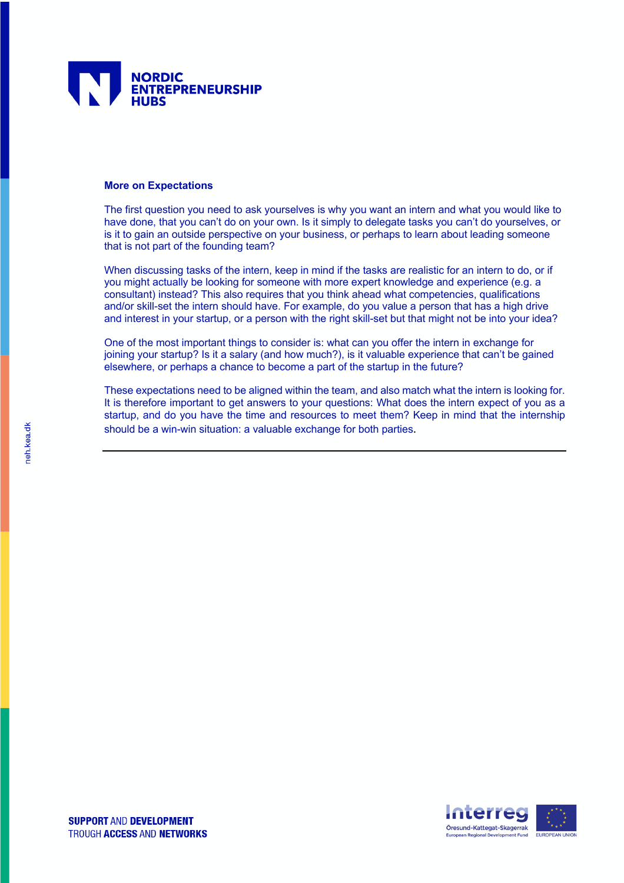

#### **More on Expectations**

The first question you need to ask yourselves is why you want an intern and what you would like to have done, that you can't do on your own. Is it simply to delegate tasks you can't do yourselves, or is it to gain an outside perspective on your business, or perhaps to learn about leading someone that is not part of the founding team?

When discussing tasks of the intern, keep in mind if the tasks are realistic for an intern to do, or if you might actually be looking for someone with more expert knowledge and experience (e.g. a consultant) instead? This also requires that you think ahead what competencies, qualifications and/or skill-set the intern should have. For example, do you value a person that has a high drive and interest in your startup, or a person with the right skill-set but that might not be into your idea?

One of the most important things to consider is: what can you offer the intern in exchange for joining your startup? Is it a salary (and how much?), is it valuable experience that can't be gained elsewhere, or perhaps a chance to become a part of the startup in the future?

These expectations need to be aligned within the team, and also match what the intern is looking for. It is therefore important to get answers to your questions: What does the intern expect of you as a startup, and do you have the time and resources to meet them? Keep in mind that the internship should be a win-win situation: a valuable exchange for both parties.

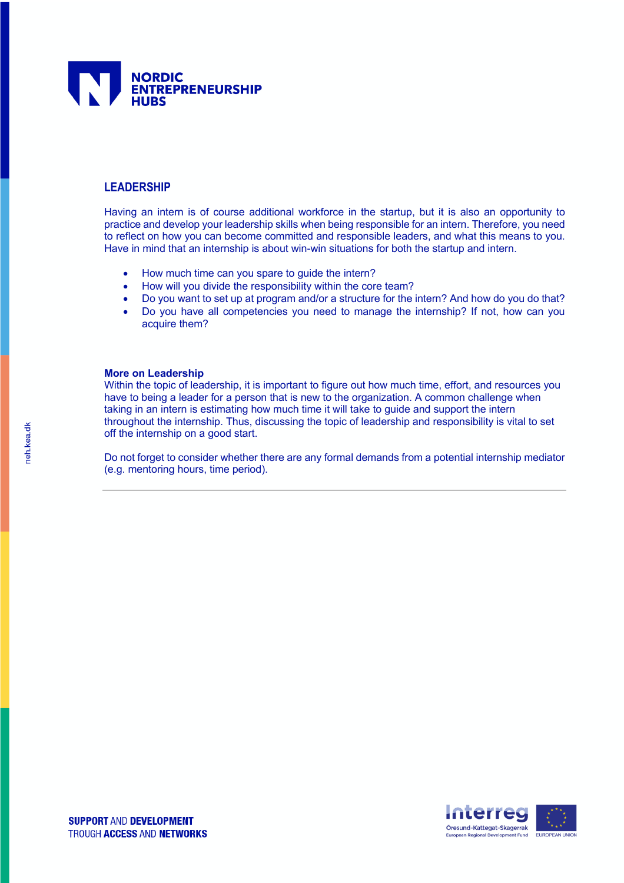

## **LEADERSHIP**

Having an intern is of course additional workforce in the startup, but it is also an opportunity to practice and develop your leadership skills when being responsible for an intern. Therefore, you need to reflect on how you can become committed and responsible leaders, and what this means to you. Have in mind that an internship is about win-win situations for both the startup and intern.

- How much time can you spare to guide the intern?
- How will you divide the responsibility within the core team?
- Do you want to set up at program and/or a structure for the intern? And how do you do that?
- Do you have all competencies you need to manage the internship? If not, how can you acquire them?

#### **More on Leadership**

Within the topic of leadership, it is important to figure out how much time, effort, and resources you have to being a leader for a person that is new to the organization. A common challenge when taking in an intern is estimating how much time it will take to guide and support the intern throughout the internship. Thus, discussing the topic of leadership and responsibility is vital to set off the internship on a good start.

Do not forget to consider whether there are any formal demands from a potential internship mediator (e.g. mentoring hours, time period).

ieh.kea.dk

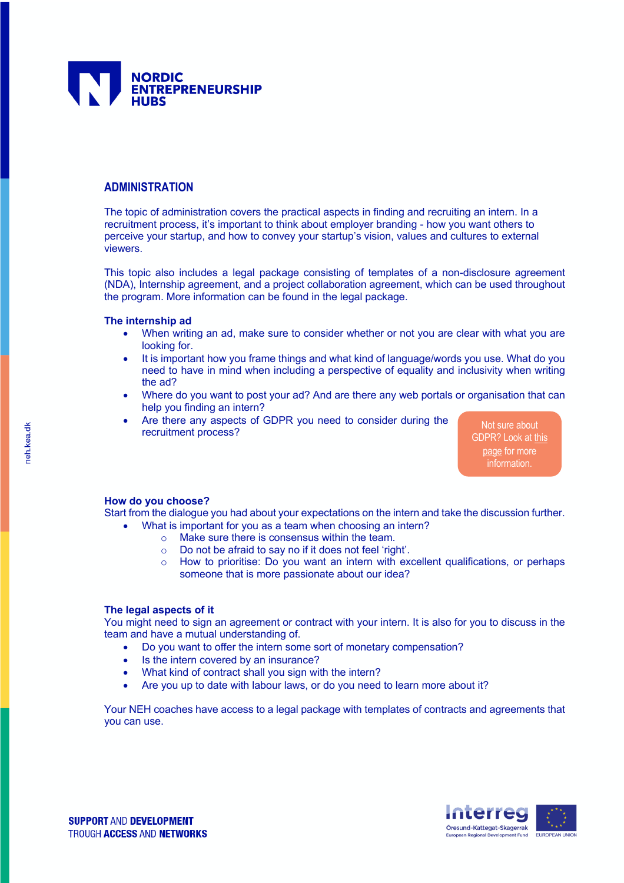

## **ADMINISTRATION**

The topic of administration covers the practical aspects in finding and recruiting an intern. In a recruitment process, it's important to think about employer branding - how you want others to perceive your startup, and how to convey your startup's vision, values and cultures to external viewers.

This topic also includes a legal package consisting of templates of a non-disclosure agreement (NDA), Internship agreement, and a project collaboration agreement, which can be used throughout the program. More information can be found in the legal package.

### **The internship ad**

- When writing an ad, make sure to consider whether or not you are clear with what you are looking for.
- It is important how you frame things and what kind of language/words you use. What do you need to have in mind when including a perspective of equality and inclusivity when writing the ad?
- Where do you want to post your ad? And are there any web portals or organisation that can help you finding an intern?
- Are there any aspects of GDPR you need to consider during the recruitment process?

Not sure about GDPR? Look at this page for more information.

## **How do you choose?**

Start from the dialogue you had about your expectations on the intern and take the discussion further.

- What is important for you as a team when choosing an intern?
	- o Make sure there is consensus within the team.
	- o Do not be afraid to say no if it does not feel 'right'.
	- $\circ$  How to prioritise: Do you want an intern with excellent qualifications, or perhaps someone that is more passionate about our idea?

#### **The legal aspects of it**

You might need to sign an agreement or contract with your intern. It is also for you to discuss in the team and have a mutual understanding of.

- Do you want to offer the intern some sort of monetary compensation?
- Is the intern covered by an insurance?
- What kind of contract shall you sign with the intern?
- Are you up to date with labour laws, or do you need to learn more about it?

Your NEH coaches have access to a legal package with templates of contracts and agreements that you can use.